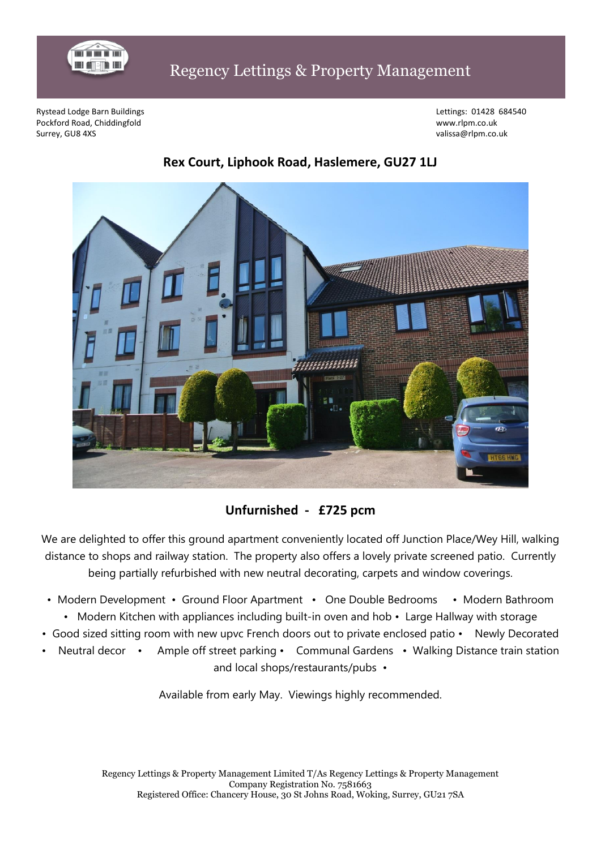

## Regency Lettings & Property Management

Rystead Lodge Barn Buildings Lettings: 01428 684540 Pockford Road, Chiddingfold www.rlpm.co.uk Surrey, GU8 4XS valissa@rlpm.co.uk



## **Rex Court, Liphook Road, Haslemere, GU27 1LJ**

**Unfurnished - £725 pcm**

We are delighted to offer this ground apartment conveniently located off Junction Place/Wey Hill, walking distance to shops and railway station. The property also offers a lovely private screened patio. Currently being partially refurbished with new neutral decorating, carpets and window coverings.

- Modern Development Ground Floor Apartment One Double Bedrooms Modern Bathroom
- Modern Kitchen with appliances including built-in oven and hob Large Hallway with storage
- Good sized sitting room with new upvc French doors out to private enclosed patio Newly Decorated
- Neutral decor Ample off street parking Communal Gardens Walking Distance train station and local shops/restaurants/pubs •

Available from early May. Viewings highly recommended.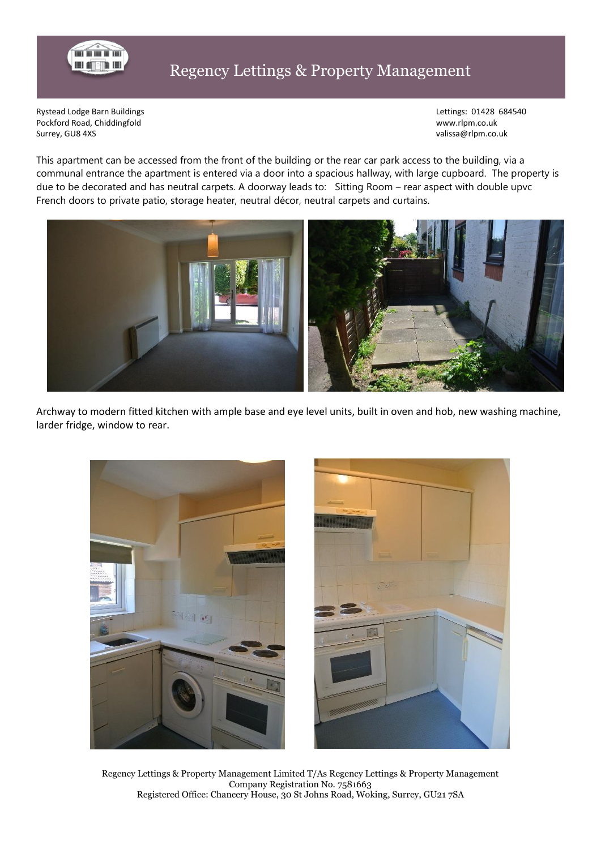

Rystead Lodge Barn Buildings **Lettings: 01428 684540** Pockford Road, Chiddingfold www.rlpm.co.uk Surrey, GU8 4XS values and the state of the state of the state of the state of the state of the state of the state of the state of the state of the state of the state of the state of the state of the state of the state of

This apartment can be accessed from the front of the building or the rear car park access to the building, via a communal entrance the apartment is entered via a door into a spacious hallway, with large cupboard. The property is due to be decorated and has neutral carpets. A doorway leads to: Sitting Room – rear aspect with double upvc French doors to private patio, storage heater, neutral décor, neutral carpets and curtains.



Archway to modern fitted kitchen with ample base and eye level units, built in oven and hob, new washing machine, larder fridge, window to rear.



Regency Lettings & Property Management Limited T/As Regency Lettings & Property Management Company Registration No. 7581663 Registered Office: Chancery House, 30 St Johns Road, Woking, Surrey, GU21 7SA